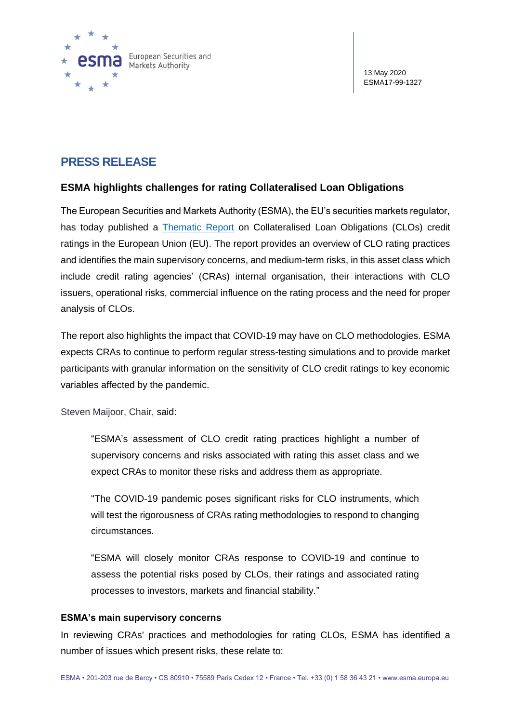

# **PRESS RELEASE**

## **ESMA highlights challenges for rating Collateralised Loan Obligations**

The European Securities and Markets Authority (ESMA), the EU's securities markets regulator, has today published a [Thematic Report](https://www.esma.europa.eu/sites/default/files/library/esma80-189-6982_eu_clo_credit_ratings_-_an_overview_of_credit_rating_agencies_practices_and_challenges.pdf) on Collateralised Loan Obligations (CLOs) credit ratings in the European Union (EU). The report provides an overview of CLO rating practices and identifies the main supervisory concerns, and medium-term risks, in this asset class which include credit rating agencies' (CRAs) internal organisation, their interactions with CLO issuers, operational risks, commercial influence on the rating process and the need for proper analysis of CLOs.

The report also highlights the impact that COVID-19 may have on CLO methodologies. ESMA expects CRAs to continue to perform regular stress-testing simulations and to provide market participants with granular information on the sensitivity of CLO credit ratings to key economic variables affected by the pandemic.

Steven Maijoor, Chair, said:

"ESMA's assessment of CLO credit rating practices highlight a number of supervisory concerns and risks associated with rating this asset class and we expect CRAs to monitor these risks and address them as appropriate.

"The COVID-19 pandemic poses significant risks for CLO instruments, which will test the rigorousness of CRAs rating methodologies to respond to changing circumstances.

"ESMA will closely monitor CRAs response to COVID-19 and continue to assess the potential risks posed by CLOs, their ratings and associated rating processes to investors, markets and financial stability."

## **ESMA's main supervisory concerns**

In reviewing CRAs' practices and methodologies for rating CLOs, ESMA has identified a number of issues which present risks, these relate to: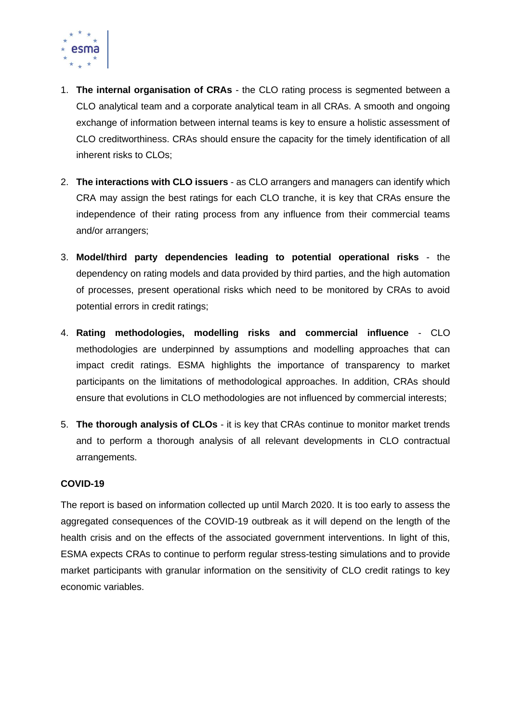

- 1. **The internal organisation of CRAs** the CLO rating process is segmented between a CLO analytical team and a corporate analytical team in all CRAs. A smooth and ongoing exchange of information between internal teams is key to ensure a holistic assessment of CLO creditworthiness. CRAs should ensure the capacity for the timely identification of all inherent risks to CLOs;
- 2. **The interactions with CLO issuers** as CLO arrangers and managers can identify which CRA may assign the best ratings for each CLO tranche, it is key that CRAs ensure the independence of their rating process from any influence from their commercial teams and/or arrangers;
- 3. **Model/third party dependencies leading to potential operational risks** the dependency on rating models and data provided by third parties, and the high automation of processes, present operational risks which need to be monitored by CRAs to avoid potential errors in credit ratings;
- 4. **Rating methodologies, modelling risks and commercial influence** CLO methodologies are underpinned by assumptions and modelling approaches that can impact credit ratings. ESMA highlights the importance of transparency to market participants on the limitations of methodological approaches. In addition, CRAs should ensure that evolutions in CLO methodologies are not influenced by commercial interests;
- 5. **The thorough analysis of CLOs** it is key that CRAs continue to monitor market trends and to perform a thorough analysis of all relevant developments in CLO contractual arrangements.

## **COVID-19**

The report is based on information collected up until March 2020. It is too early to assess the aggregated consequences of the COVID-19 outbreak as it will depend on the length of the health crisis and on the effects of the associated government interventions. In light of this, ESMA expects CRAs to continue to perform regular stress-testing simulations and to provide market participants with granular information on the sensitivity of CLO credit ratings to key economic variables.